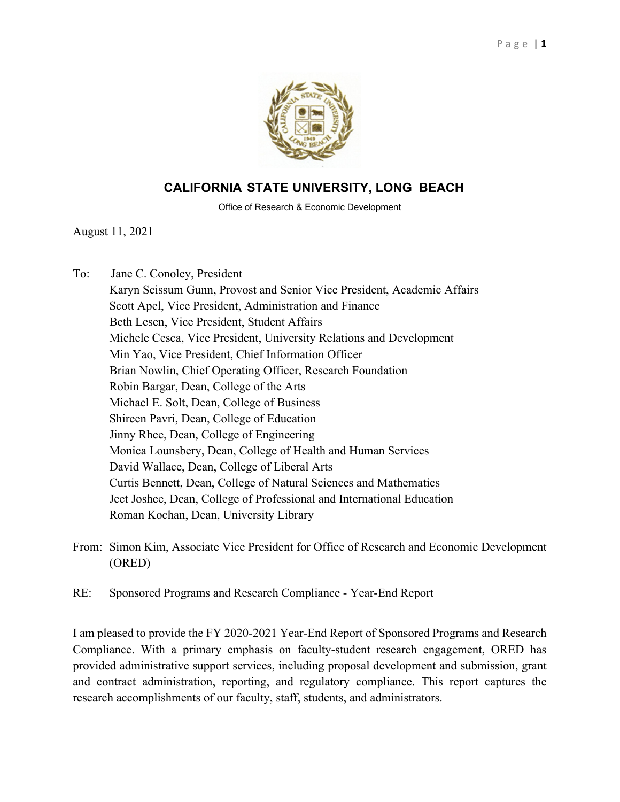

# **CALIFORNIA STATE UNIVERSITY, LONG BEACH**

Office of Research & Economic Development

 $\mathcal{L}_\text{max} = \mathcal{L}_\text{max} = \mathcal{L}_\text{max} = \mathcal{L}_\text{max} = \mathcal{L}_\text{max} = \mathcal{L}_\text{max} = \mathcal{L}_\text{max} = \mathcal{L}_\text{max} = \mathcal{L}_\text{max} = \mathcal{L}_\text{max} = \mathcal{L}_\text{max} = \mathcal{L}_\text{max} = \mathcal{L}_\text{max} = \mathcal{L}_\text{max} = \mathcal{L}_\text{max} = \mathcal{L}_\text{max} = \mathcal{L}_\text{max} = \mathcal{L}_\text{max} = \mathcal{$ 

August 11, 2021

To: Jane C. Conoley, President

Karyn Scissum Gunn, Provost and Senior Vice President, Academic Affairs Scott Apel, Vice President, Administration and Finance Beth Lesen, Vice President, Student Affairs Michele Cesca, Vice President, University Relations and Development Min Yao, Vice President, Chief Information Officer Brian Nowlin, Chief Operating Officer, Research Foundation Robin Bargar, Dean, College of the Arts Michael E. Solt, Dean, College of Business Shireen Pavri, Dean, College of Education Jinny Rhee, Dean, College of Engineering Monica Lounsbery, Dean, College of Health and Human Services David Wallace, Dean, College of Liberal Arts Curtis Bennett, Dean, College of Natural Sciences and Mathematics Jeet Joshee, Dean, College of Professional and International Education Roman Kochan, Dean, University Library

- From: Simon Kim, Associate Vice President for Office of Research and Economic Development (ORED)
- RE: Sponsored Programs and Research Compliance Year-End Report

I am pleased to provide the FY 2020-2021 Year-End Report of Sponsored Programs and Research Compliance. With a primary emphasis on faculty-student research engagement, ORED has provided administrative support services, including proposal development and submission, grant and contract administration, reporting, and regulatory compliance. This report captures the research accomplishments of our faculty, staff, students, and administrators.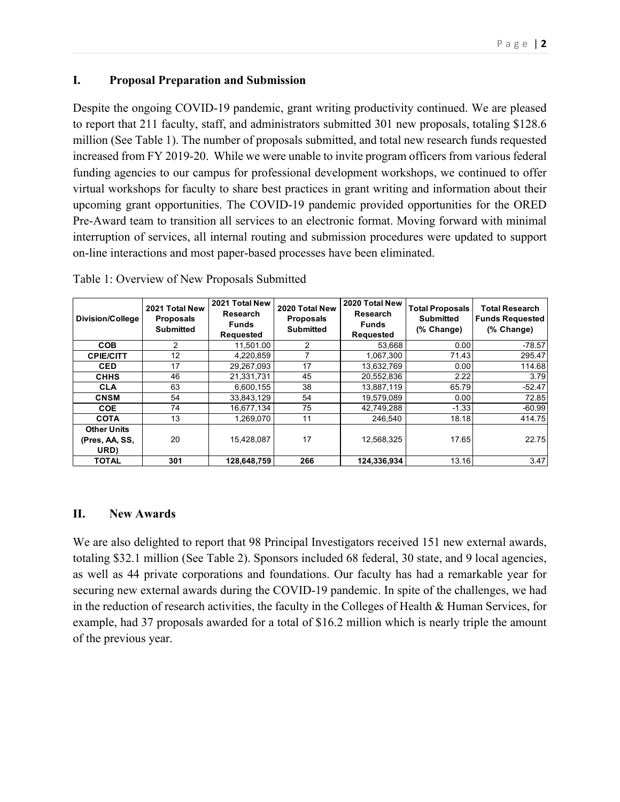#### Page | **2**

#### **I. Proposal Preparation and Submission**

Despite the ongoing COVID-19 pandemic, grant writing productivity continued. We are pleased to report that 211 faculty, staff, and administrators submitted 301 new proposals, totaling \$128.6 million (See Table 1). The number of proposals submitted, and total new research funds requested increased from FY 2019-20. While we were unable to invite program officers from various federal funding agencies to our campus for professional development workshops, we continued to offer virtual workshops for faculty to share best practices in grant writing and information about their upcoming grant opportunities. The COVID-19 pandemic provided opportunities for the ORED Pre-Award team to transition all services to an electronic format. Moving forward with minimal interruption of services, all internal routing and submission procedures were updated to support on-line interactions and most paper-based processes have been eliminated.

| Division/College   | 2021 Total New<br><b>Proposals</b><br><b>Submitted</b> | 2021 Total New<br>Research<br><b>Funds</b><br><b>Requested</b> | 2020 Total New<br><b>Proposals</b><br><b>Submitted</b> | 2020 Total New<br>Research<br><b>Funds</b><br><b>Requested</b> | <b>Total Proposals</b><br>Submitted<br>(% Change) | <b>Total Research</b><br><b>Funds Requested</b><br>(% Change) |
|--------------------|--------------------------------------------------------|----------------------------------------------------------------|--------------------------------------------------------|----------------------------------------------------------------|---------------------------------------------------|---------------------------------------------------------------|
| <b>COB</b>         | 2                                                      | 11.501.00                                                      | 2                                                      | 53,668                                                         | 0.00                                              | $-78.57$                                                      |
| <b>CPIE/CITT</b>   | 12                                                     | 4,220,859                                                      |                                                        | 1,067,300                                                      | 71.43                                             | 295.47                                                        |
| <b>CED</b>         | 17                                                     | 29,267,093                                                     | 17                                                     | 13.632.769                                                     | 0.00                                              | 114.68                                                        |
| <b>CHHS</b>        | 46                                                     | 21,331,731                                                     | 45                                                     | 20,552,836                                                     | 2.22                                              | 3.79                                                          |
| <b>CLA</b>         | 63                                                     | 6,600,155                                                      | 38                                                     | 13,887,119                                                     | 65.79                                             | $-52.47$                                                      |
| <b>CNSM</b>        | 54                                                     | 33,843,129                                                     | 54                                                     | 19,579,089                                                     | 0.00                                              | 72.85                                                         |
| <b>COE</b>         | 74                                                     | 16,677,134                                                     | 75                                                     | 42,749,288                                                     | $-1.33$                                           | $-60.99$                                                      |
| <b>COTA</b>        | 13                                                     | 1,269,070                                                      | 11                                                     | 246.540                                                        | 18.18                                             | 414.75                                                        |
| <b>Other Units</b> |                                                        |                                                                |                                                        |                                                                |                                                   |                                                               |
| (Pres, AA, SS,     | 20                                                     | 15,428,087                                                     | 17                                                     | 12,568,325                                                     | 17.65                                             | 22.75                                                         |
| URD)               |                                                        |                                                                |                                                        |                                                                |                                                   |                                                               |
| <b>TOTAL</b>       | 301                                                    | 128,648,759                                                    | 266                                                    | 124,336,934                                                    | 13.16                                             | 3.47                                                          |

Table 1: Overview of New Proposals Submitted

## **II. New Awards**

We are also delighted to report that 98 Principal Investigators received 151 new external awards, totaling \$32.1 million (See Table 2). Sponsors included 68 federal, 30 state, and 9 local agencies, as well as 44 private corporations and foundations. Our faculty has had a remarkable year for securing new external awards during the COVID-19 pandemic. In spite of the challenges, we had in the reduction of research activities, the faculty in the Colleges of Health & Human Services, for example, had 37 proposals awarded for a total of \$16.2 million which is nearly triple the amount of the previous year.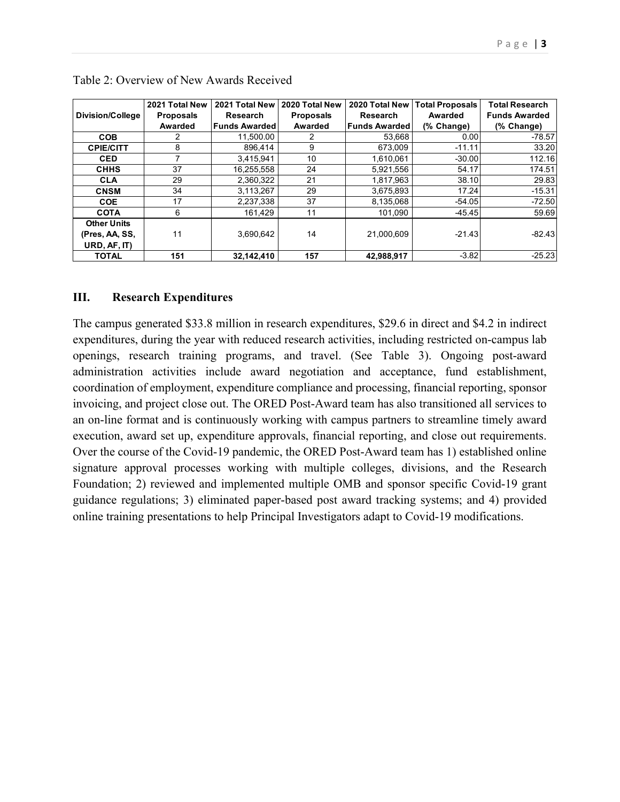|                         | 2021 Total New   | 2021 Total New       | 2020 Total New   | 2020 Total New       | <b>Total Proposals</b> | <b>Total Research</b> |
|-------------------------|------------------|----------------------|------------------|----------------------|------------------------|-----------------------|
| <b>Division/College</b> | <b>Proposals</b> | <b>Research</b>      | <b>Proposals</b> | <b>Research</b>      | Awarded                | <b>Funds Awarded</b>  |
|                         | Awarded          | <b>Funds Awarded</b> | Awarded          | <b>Funds Awarded</b> | (% Change)             | (% Change)            |
| <b>COB</b>              | 2                | 11,500.00            |                  | 53,668               | 0.00                   | $-78.57$              |
| <b>CPIE/CITT</b>        | 8                | 896.414              | 9                | 673.009              | $-11.11$               | 33.20                 |
| <b>CED</b>              |                  | 3,415,941            | 10               | 1.610.061            | $-30.00$               | 112.16                |
| <b>CHHS</b>             | 37               | 16,255,558           | 24               | 5,921,556            | 54.17                  | 174.51                |
| <b>CLA</b>              | 29               | 2,360,322            | 21               | 1,817,963            | 38.10                  | 29.83                 |
| <b>CNSM</b>             | 34               | 3,113,267            | 29               | 3,675,893            | 17.24                  | $-15.31$              |
| <b>COE</b>              | 17               | 2,237,338            | 37               | 8,135,068            | $-54.05$               | $-72.50$              |
| <b>COTA</b>             | 6                | 161,429              | 11               | 101.090              | $-45.45$               | 59.69                 |
| <b>Other Units</b>      |                  |                      |                  |                      |                        |                       |
| (Pres, AA, SS,          | 11               | 3,690,642            | 14               | 21,000,609           | $-21.43$               | $-82.43$              |
| URD, AF, IT)            |                  |                      |                  |                      |                        |                       |
| <b>TOTAL</b>            | 151              | 32,142,410           | 157              | 42.988.917           | $-3.82$                | $-25.23$              |

#### **III. Research Expenditures**

The campus generated \$33.8 million in research expenditures, \$29.6 in direct and \$4.2 in indirect expenditures, during the year with reduced research activities, including restricted on-campus lab openings, research training programs, and travel. (See Table 3). Ongoing post-award administration activities include award negotiation and acceptance, fund establishment, coordination of employment, expenditure compliance and processing, financial reporting, sponsor invoicing, and project close out. The ORED Post-Award team has also transitioned all services to an on-line format and is continuously working with campus partners to streamline timely award execution, award set up, expenditure approvals, financial reporting, and close out requirements. Over the course of the Covid-19 pandemic, the ORED Post-Award team has 1) established online signature approval processes working with multiple colleges, divisions, and the Research Foundation; 2) reviewed and implemented multiple OMB and sponsor specific Covid-19 grant guidance regulations; 3) eliminated paper-based post award tracking systems; and 4) provided online training presentations to help Principal Investigators adapt to Covid-19 modifications.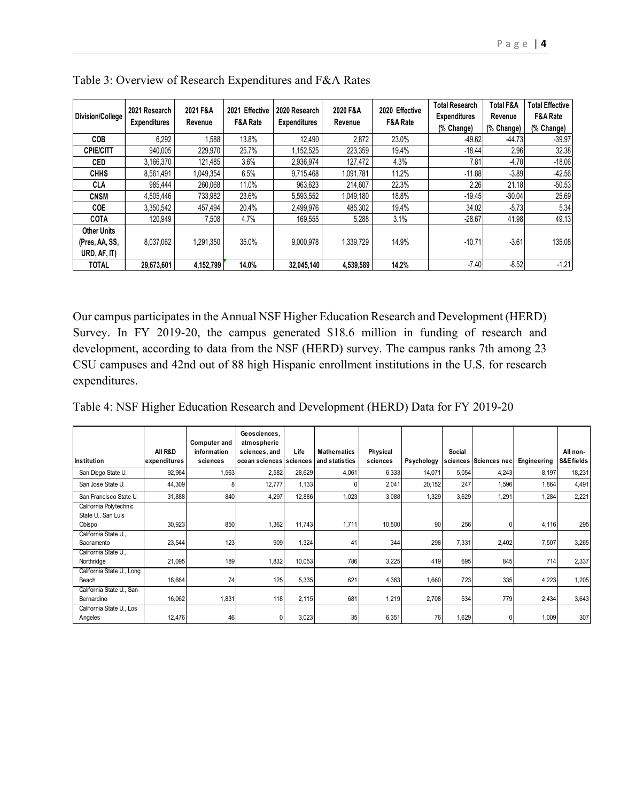| Division/College                                     | 2021 Research<br><b>Expenditures</b> | 2021 F&A<br>Revenue | 2021 Effective<br>F&A Rate | 2020 Research<br><b>Expenditures</b> | 2020 F&A<br>Revenue | 2020 Effective<br>F&A Rate | <b>Total Research</b><br><b>Expenditures</b><br>(% Change) | <b>Total F&amp;A</b><br>Revenue<br>(% Change) | <b>Total Effective</b><br>F&A Rate<br>(% Change) |
|------------------------------------------------------|--------------------------------------|---------------------|----------------------------|--------------------------------------|---------------------|----------------------------|------------------------------------------------------------|-----------------------------------------------|--------------------------------------------------|
| COB                                                  | 6,292                                | .588                | 13.8%                      | 12.490                               | 2,872               | 23.0%                      | $-49.62$                                                   | $-44.73$                                      | $-39.97$                                         |
| <b>CPIE/CITT</b>                                     | 940.005                              | 229,970             | 25.7%                      | 1,152,525                            | 223,359             | 19.4%                      | $-18.44$                                                   | 2.96                                          | 32.38                                            |
| <b>CED</b>                                           | 3,166,370                            | 121,485             | 3.6%                       | 2,936,974                            | 127,472             | 4.3%                       | 7.81                                                       | $-4.70$                                       | $-18.06$                                         |
| <b>CHHS</b>                                          | 8.561.491                            | 1.049.354           | 6.5%                       | 9.715.468                            | 1.091.781           | 11.2%                      | $-11.88$                                                   | $-3.89$                                       | $-42.56$                                         |
| <b>CLA</b>                                           | 985.444                              | 260,068             | 11.0%                      | 963,623                              | 214,607             | 22.3%                      | 2.26                                                       | 21.18                                         | $-50.53$                                         |
| <b>CNSM</b>                                          | 4.505.446                            | 733.982             | 23.6%                      | 5.593.552                            | 1.049.180           | 18.8%                      | $-19.45$                                                   | $-30.04$                                      | 25.69                                            |
| <b>COE</b>                                           | 3,350,542                            | 457.494             | 20.4%                      | 2,499,976                            | 485,302             | 19.4%                      | 34.02                                                      | $-5.73$                                       | 5.34                                             |
| <b>COTA</b>                                          | 120,949                              | 7,508               | 4.7%                       | 169,555                              | 5,288               | 3.1%                       | $-28.67$                                                   | 41.98                                         | 49.13                                            |
| <b>Other Units</b><br>(Pres, AA, SS,<br>URD, AF, IT) | 8.037.062                            | 1,291,350           | 35.0%                      | 9.000.978                            | 1,339,729           | 14.9%                      | $-10.71$                                                   | $-3.61$                                       | 135.08                                           |
| <b>TOTAL</b>                                         | 29,673,601                           | 4.152.799           | 14.0%                      | 32.045.140                           | 4,539,589           | 14.2%                      | $-7.40$                                                    | $-8.52$                                       | $-1.21$                                          |

| Table 3: Overview of Research Expenditures and F&A Rates |  |  |  |
|----------------------------------------------------------|--|--|--|
|----------------------------------------------------------|--|--|--|

Our campus participates in the Annual NSF Higher Education Research and Development (HERD) Survey. In FY 2019-20, the campus generated \$18.6 million in funding of research and development, according to data from the NSF (HERD) survey. The campus ranks 7th among 23 CSU campuses and 42nd out of 88 high Hispanic enrollment institutions in the U.S. for research expenditures.

|  |  | Table 4: NSF Higher Education Research and Development (HERD) Data for FY 2019-20 |
|--|--|-----------------------------------------------------------------------------------|
|  |  |                                                                                   |

| <b>Institution</b>                                     | All R&D<br>expenditures | Computer and<br>information<br>sciences | Geosciences,<br>atmospheric<br>sciences, and<br>ocean sciences sciences | Life   | <b>Mathematics</b><br>and statistics | Physical<br>sciences | <b>Psychology</b> | Social | sciences Sciences nec | Engineering | All non-<br>S&E fields |
|--------------------------------------------------------|-------------------------|-----------------------------------------|-------------------------------------------------------------------------|--------|--------------------------------------|----------------------|-------------------|--------|-----------------------|-------------|------------------------|
| San Diego State U.                                     | 92,964                  | 1,563                                   | 2,582                                                                   | 28,629 | 4,061                                | 6,333                | 14,071            | 5,054  | 4,243                 | 8,197       | 18,231                 |
| San Jose State U.                                      | 44,309                  |                                         | 12,777                                                                  | 1.133  |                                      | 2,041                | 20,152            | 247    | 1,596                 | 1,864       | 4,491                  |
| San Francisco State U.                                 | 31,888                  | 840                                     | 4,297                                                                   | 12,886 | 1,023                                | 3,088                | 1,329             | 3,629  | 1,291                 | 1,284       | 2,221                  |
| California Polytechnic<br>State U., San Luis<br>Obispo | 30,923                  | 850                                     | 1,362                                                                   | 11,743 | 1,711                                | 10,500               | 90                | 256    | O                     | 4,116       | 295                    |
| California State U.,<br>Sacramento                     | 23,544                  | 123                                     | 909                                                                     | 1,324  | 41                                   | 344                  | 298               | 7,331  | 2,402                 | 7,507       | 3,265                  |
| California State U.,<br>Northridge                     | 21,095                  | 189                                     | 1,832                                                                   | 10,053 | 786                                  | 3,225                | 419               | 695    | 845                   | 714         | 2,337                  |
| California State U., Long<br>Beach                     | 18,664                  | 74                                      | 125                                                                     | 5,335  | 621                                  | 4,363                | 1,660             | 723    | 335                   | 4,223       | 1,205                  |
| California State U., San<br>Bernardino                 | 16,062                  | 1,831                                   | 118                                                                     | 2,115  | 681                                  | 1,219                | 2,708             | 534    | 779                   | 2,434       | 3,643                  |
| California State U., Los<br>Angeles                    | 12,476                  | 46                                      | $\Omega$                                                                | 3,023  | 35                                   | 6,351                | 76                | 1,629  | O                     | 1,009       | 307                    |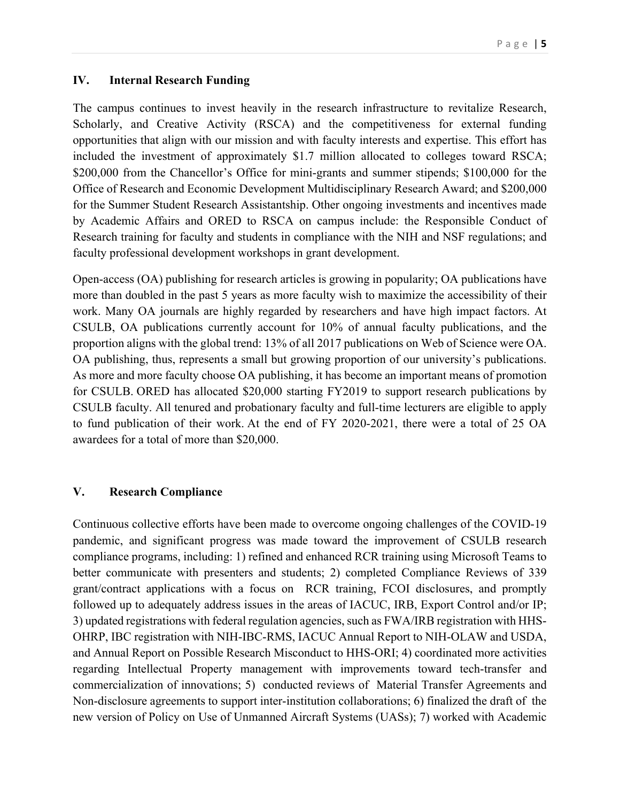#### **IV. Internal Research Funding**

The campus continues to invest heavily in the research infrastructure to revitalize Research, Scholarly, and Creative Activity (RSCA) and the competitiveness for external funding opportunities that align with our mission and with faculty interests and expertise. This effort has included the investment of approximately \$1.7 million allocated to colleges toward RSCA; \$200,000 from the Chancellor's Office for mini-grants and summer stipends; \$100,000 for the Office of Research and Economic Development Multidisciplinary Research Award; and \$200,000 for the Summer Student Research Assistantship. Other ongoing investments and incentives made by Academic Affairs and ORED to RSCA on campus include: the Responsible Conduct of Research training for faculty and students in compliance with the NIH and NSF regulations; and faculty professional development workshops in grant development.

Open-access (OA) publishing for research articles is growing in popularity; OA publications have more than doubled in the past 5 years as more faculty wish to maximize the accessibility of their work. Many OA journals are highly regarded by researchers and have high impact factors. At CSULB, OA publications currently account for 10% of annual faculty publications, and the proportion aligns with the global trend: 13% of all 2017 publications on Web of Science were OA. OA publishing, thus, represents a small but growing proportion of our university's publications. As more and more faculty choose OA publishing, it has become an important means of promotion for CSULB. ORED has allocated \$20,000 starting FY2019 to support research publications by CSULB faculty. All tenured and probationary faculty and full-time lecturers are eligible to apply to fund publication of their work. At the end of FY 2020-2021, there were a total of 25 OA awardees for a total of more than \$20,000.

## **V. Research Compliance**

Continuous collective efforts have been made to overcome ongoing challenges of the COVID-19 pandemic, and significant progress was made toward the improvement of CSULB research compliance programs, including: 1) refined and enhanced RCR training using Microsoft Teams to better communicate with presenters and students; 2) completed Compliance Reviews of 339 grant/contract applications with a focus on RCR training, FCOI disclosures, and promptly followed up to adequately address issues in the areas of IACUC, IRB, Export Control and/or IP; 3) updated registrations with federal regulation agencies, such as FWA/IRB registration with HHS-OHRP, IBC registration with NIH-IBC-RMS, IACUC Annual Report to NIH-OLAW and USDA, and Annual Report on Possible Research Misconduct to HHS-ORI; 4) coordinated more activities regarding Intellectual Property management with improvements toward tech-transfer and commercialization of innovations; 5) conducted reviews of Material Transfer Agreements and Non-disclosure agreements to support inter-institution collaborations; 6) finalized the draft of the new version of Policy on Use of Unmanned Aircraft Systems (UASs); 7) worked with Academic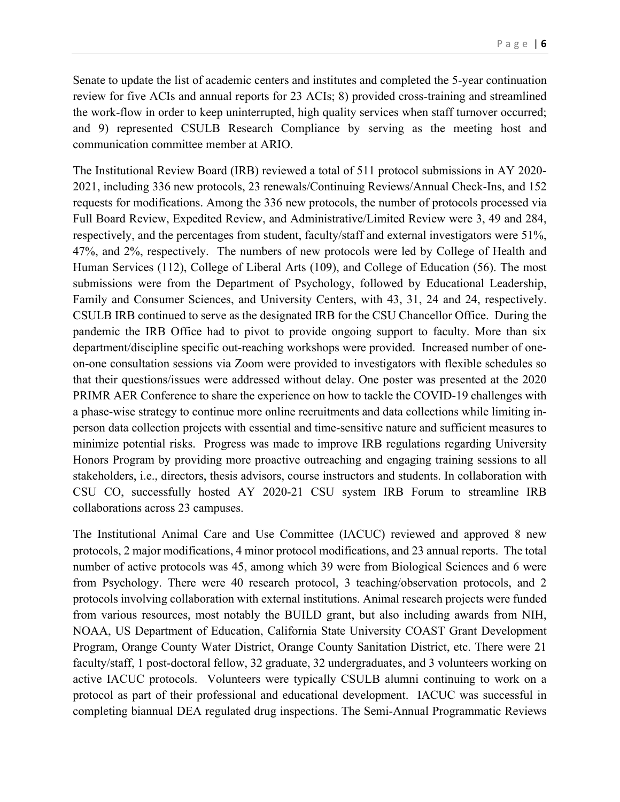Senate to update the list of academic centers and institutes and completed the 5-year continuation review for five ACIs and annual reports for 23 ACIs; 8) provided cross-training and streamlined the work-flow in order to keep uninterrupted, high quality services when staff turnover occurred; and 9) represented CSULB Research Compliance by serving as the meeting host and communication committee member at ARIO.

The Institutional Review Board (IRB) reviewed a total of 511 protocol submissions in AY 2020- 2021, including 336 new protocols, 23 renewals/Continuing Reviews/Annual Check-Ins, and 152 requests for modifications. Among the 336 new protocols, the number of protocols processed via Full Board Review, Expedited Review, and Administrative/Limited Review were 3, 49 and 284, respectively, and the percentages from student, faculty/staff and external investigators were 51%, 47%, and 2%, respectively. The numbers of new protocols were led by College of Health and Human Services (112), College of Liberal Arts (109), and College of Education (56). The most submissions were from the Department of Psychology, followed by Educational Leadership, Family and Consumer Sciences, and University Centers, with 43, 31, 24 and 24, respectively. CSULB IRB continued to serve as the designated IRB for the CSU Chancellor Office. During the pandemic the IRB Office had to pivot to provide ongoing support to faculty. More than six department/discipline specific out-reaching workshops were provided. Increased number of oneon-one consultation sessions via Zoom were provided to investigators with flexible schedules so that their questions/issues were addressed without delay. One poster was presented at the 2020 PRIMR AER Conference to share the experience on how to tackle the COVID-19 challenges with a phase-wise strategy to continue more online recruitments and data collections while limiting inperson data collection projects with essential and time-sensitive nature and sufficient measures to minimize potential risks. Progress was made to improve IRB regulations regarding University Honors Program by providing more proactive outreaching and engaging training sessions to all stakeholders, i.e., directors, thesis advisors, course instructors and students. In collaboration with CSU CO, successfully hosted AY 2020-21 CSU system IRB Forum to streamline IRB collaborations across 23 campuses.

The Institutional Animal Care and Use Committee (IACUC) reviewed and approved 8 new protocols, 2 major modifications, 4 minor protocol modifications, and 23 annual reports. The total number of active protocols was 45, among which 39 were from Biological Sciences and 6 were from Psychology. There were 40 research protocol, 3 teaching/observation protocols, and 2 protocols involving collaboration with external institutions. Animal research projects were funded from various resources, most notably the BUILD grant, but also including awards from NIH, NOAA, US Department of Education, California State University COAST Grant Development Program, Orange County Water District, Orange County Sanitation District, etc. There were 21 faculty/staff, 1 post-doctoral fellow, 32 graduate, 32 undergraduates, and 3 volunteers working on active IACUC protocols. Volunteers were typically CSULB alumni continuing to work on a protocol as part of their professional and educational development. IACUC was successful in completing biannual DEA regulated drug inspections. The Semi-Annual Programmatic Reviews